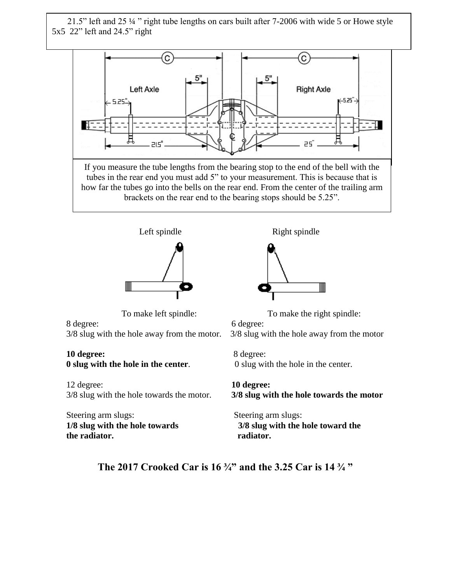21.5" left and 25 ¼ " right tube lengths on cars built after 7-2006 with wide 5 or Howe style 5x5 22" left and 24.5" right





8 degree: 6 degree: 3/8 slug with the hole away from the motor. 3/8 slug with the hole away from the motor

## **10 degree:** 8 degree:

12 degree: **10 degree:**

Steering arm slugs: Steering arm slugs: **the radiator.** The radiator.



To make left spindle: To make the right spindle:

**0 slug with the hole in the center.** 0 slug with the hole in the center.

3/8 slug with the hole towards the motor. **3/8 slug with the hole towards the motor**

**1/8 slug with the hole towards 3/8 slug with the hole toward the** 

**The 2017 Crooked Car is 16 ¾" and the 3.25 Car is 14 ¾ "**